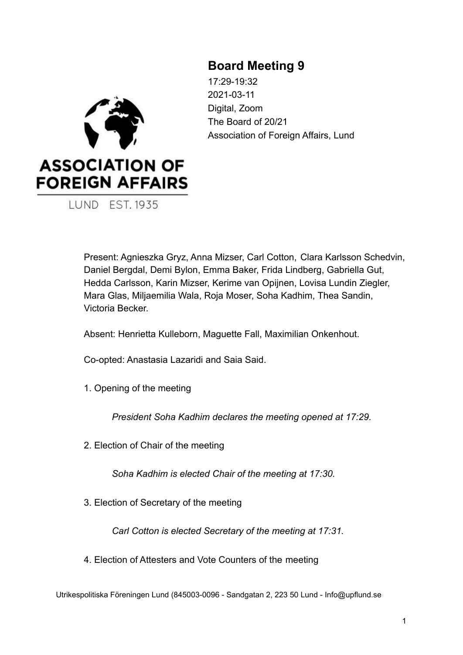# **Board Meeting 9**



17:29-19:32 2021-03-11 Digital, Zoom The Board of 20/21 Association of Foreign Affairs, Lund

Present: Agnieszka Gryz, Anna Mizser, Carl Cotton, Clara Karlsson Schedvin, Daniel Bergdal, Demi Bylon, Emma Baker, Frida Lindberg, Gabriella Gut, Hedda Carlsson, Karin Mizser, Kerime van Opijnen, Lovisa Lundin Ziegler, Mara Glas, Miljaemilia Wala, Roja Moser, Soha Kadhim, Thea Sandin, Victoria Becker.

Absent: Henrietta Kulleborn, Maguette Fall, Maximilian Onkenhout.

Co-opted: Anastasia Lazaridi and Saia Said.

1. Opening of the meeting

*President Soha Kadhim declares the meeting opened at 17:29.*

2. Election of Chair of the meeting

*Soha Kadhim is elected Chair of the meeting at 17:30.*

3. Election of Secretary of the meeting

*Carl Cotton is elected Secretary of the meeting at 17:31.*

4. Election of Attesters and Vote Counters of the meeting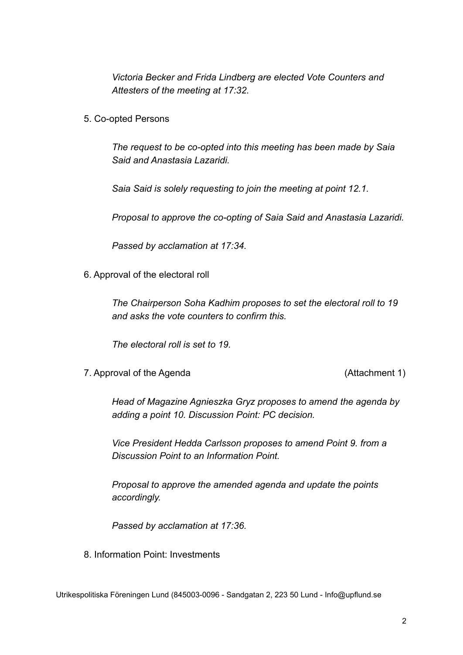*Victoria Becker and Frida Lindberg are elected Vote Counters and Attesters of the meeting at 17:32.*

5. Co-opted Persons

*The request to be co-opted into this meeting has been made by Saia Said and Anastasia Lazaridi.*

*Saia Said is solely requesting to join the meeting at point 12.1.*

*Proposal to approve the co-opting of Saia Said and Anastasia Lazaridi.*

*Passed by acclamation at 17:34.*

6. Approval of the electoral roll

*The Chairperson Soha Kadhim proposes to set the electoral roll to 19 and asks the vote counters to confirm this.*

*The electoral roll is set to 19.*

7. Approval of the Agenda (Attachment 1)

*Head of Magazine Agnieszka Gryz proposes to amend the agenda by adding a point 10. Discussion Point: PC decision.*

*Vice President Hedda Carlsson proposes to amend Point 9. from a Discussion Point to an Information Point.*

*Proposal to approve the amended agenda and update the points accordingly.*

*Passed by acclamation at 17:36.*

8. Information Point: Investments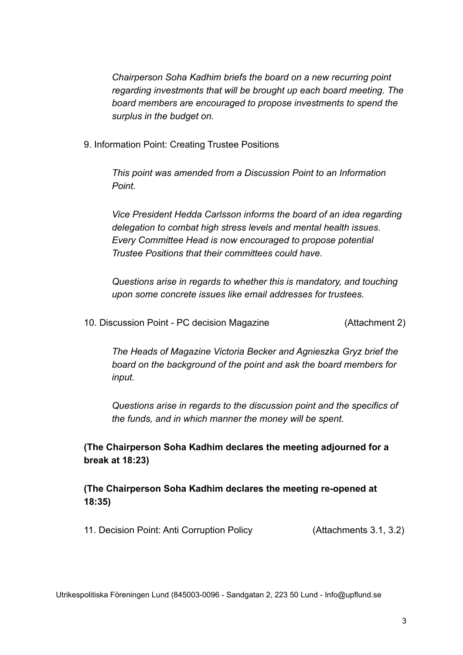*Chairperson Soha Kadhim briefs the board on a new recurring point regarding investments that will be brought up each board meeting. The board members are encouraged to propose investments to spend the surplus in the budget on.*

9. Information Point: Creating Trustee Positions

*This point was amended from a Discussion Point to an Information Point.*

*Vice President Hedda Carlsson informs the board of an idea regarding delegation to combat high stress levels and mental health issues. Every Committee Head is now encouraged to propose potential Trustee Positions that their committees could have.*

*Questions arise in regards to whether this is mandatory, and touching upon some concrete issues like email addresses for trustees.*

10. Discussion Point - PC decision Magazine (Attachment 2)

*The Heads of Magazine Victoria Becker and Agnieszka Gryz brief the board on the background of the point and ask the board members for input.*

*Questions arise in regards to the discussion point and the specifics of the funds, and in which manner the money will be spent.*

**(The Chairperson Soha Kadhim declares the meeting adjourned for a break at 18:23)**

**(The Chairperson Soha Kadhim declares the meeting re-opened at 18:35)**

11. Decision Point: Anti Corruption Policy (Attachments 3.1, 3.2)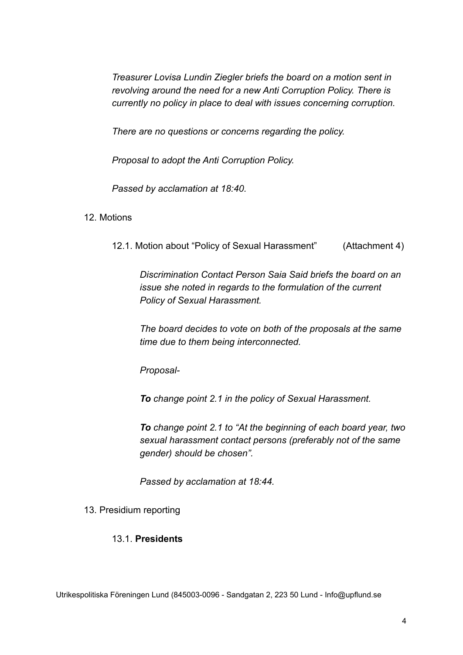*Treasurer Lovisa Lundin Ziegler briefs the board on a motion sent in revolving around the need for a new Anti Corruption Policy. There is currently no policy in place to deal with issues concerning corruption.*

*There are no questions or concerns regarding the policy.*

*Proposal to adopt the Anti Corruption Policy.*

*Passed by acclamation at 18:40.*

#### 12. Motions

12.1. Motion about "Policy of Sexual Harassment" (Attachment 4)

*Discrimination Contact Person Saia Said briefs the board on an issue she noted in regards to the formulation of the current Policy of Sexual Harassment.*

*The board decides to vote on both of the proposals at the same time due to them being interconnected.*

*Proposal-*

*To change point 2.1 in the policy of Sexual Harassment.*

*To change point 2.1 to "At the beginning of each board year, two sexual harassment contact persons (preferably not of the same gender) should be chosen".*

*Passed by acclamation at 18:44.*

#### 13. Presidium reporting

#### 13.1. **Presidents**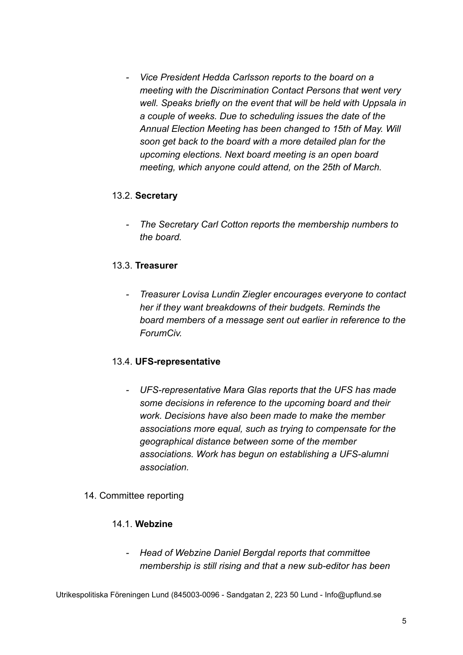*- Vice President Hedda Carlsson reports to the board on a meeting with the Discrimination Contact Persons that went very well. Speaks briefly on the event that will be held with Uppsala in a couple of weeks. Due to scheduling issues the date of the Annual Election Meeting has been changed to 15th of May. Will soon get back to the board with a more detailed plan for the upcoming elections. Next board meeting is an open board meeting, which anyone could attend, on the 25th of March.*

### 13.2. **Secretary**

*- The Secretary Carl Cotton reports the membership numbers to the board.*

### 13.3. **Treasurer**

*- Treasurer Lovisa Lundin Ziegler encourages everyone to contact her if they want breakdowns of their budgets. Reminds the board members of a message sent out earlier in reference to the ForumCiv.*

#### 13.4. **UFS-representative**

*- UFS-representative Mara Glas reports that the UFS has made some decisions in reference to the upcoming board and their work. Decisions have also been made to make the member associations more equal, such as trying to compensate for the geographical distance between some of the member associations. Work has begun on establishing a UFS-alumni association.*

## 14. Committee reporting

### 14.1. **Webzine**

*- Head of Webzine Daniel Bergdal reports that committee membership is still rising and that a new sub-editor has been*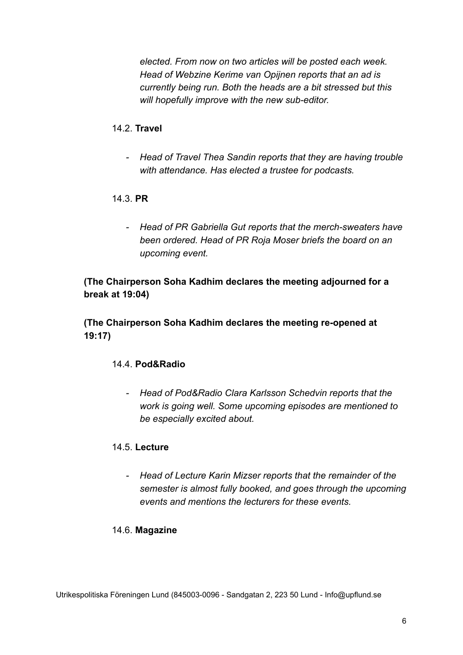*elected. From now on two articles will be posted each week. Head of Webzine Kerime van Opijnen reports that an ad is currently being run. Both the heads are a bit stressed but this will hopefully improve with the new sub-editor.*

## 14.2. **Travel**

*- Head of Travel Thea Sandin reports that they are having trouble with attendance. Has elected a trustee for podcasts.*

## 14.3. **PR**

*- Head of PR Gabriella Gut reports that the merch-sweaters have been ordered. Head of PR Roja Moser briefs the board on an upcoming event.*

## **(The Chairperson Soha Kadhim declares the meeting adjourned for a break at 19:04)**

**(The Chairperson Soha Kadhim declares the meeting re-opened at 19:17)**

## 14.4. **Pod&Radio**

*- Head of Pod&Radio Clara Karlsson Schedvin reports that the work is going well. Some upcoming episodes are mentioned to be especially excited about.*

## 14.5. **Lecture**

*- Head of Lecture Karin Mizser reports that the remainder of the semester is almost fully booked, and goes through the upcoming events and mentions the lecturers for these events.*

## 14.6. **Magazine**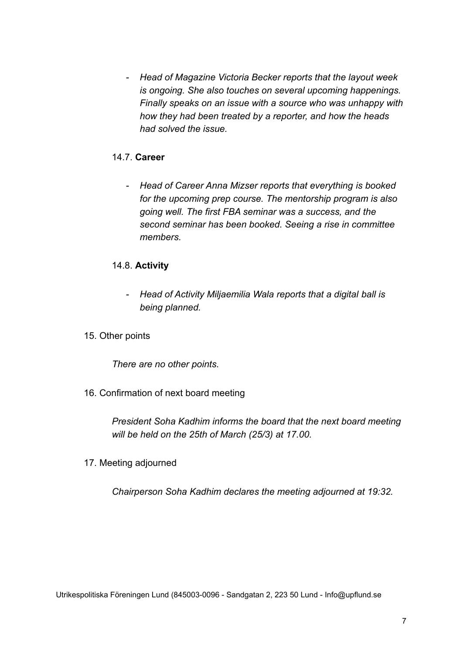*- Head of Magazine Victoria Becker reports that the layout week is ongoing. She also touches on several upcoming happenings. Finally speaks on an issue with a source who was unhappy with how they had been treated by a reporter, and how the heads had solved the issue.*

### 14.7. **Career**

*- Head of Career Anna Mizser reports that everything is booked for the upcoming prep course. The mentorship program is also going well. The first FBA seminar was a success, and the second seminar has been booked. Seeing a rise in committee members.*

### 14.8. **Activity**

- *- Head of Activity Miljaemilia Wala reports that a digital ball is being planned.*
- 15. Other points

*There are no other points.*

16. Confirmation of next board meeting

*President Soha Kadhim informs the board that the next board meeting will be held on the 25th of March (25/3) at 17.00.*

17. Meeting adjourned

*Chairperson Soha Kadhim declares the meeting adjourned at 19:32.*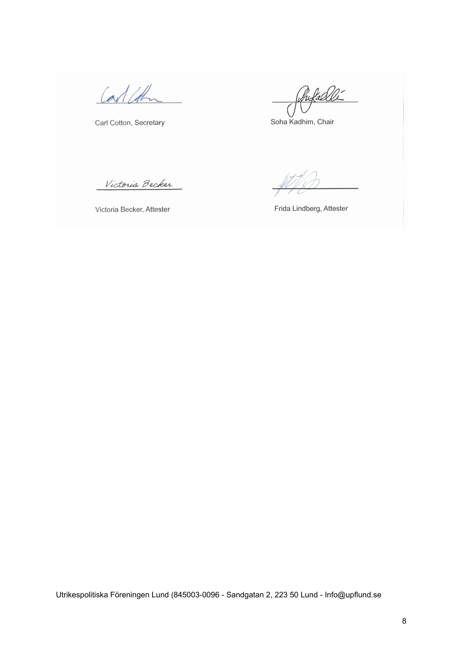Carl Col

Carl Cotton, Secretary

Pufalli

Soha Kadhim, Chair

Victoria Becker

Victoria Becker, Attester

Frida Lindberg, Attester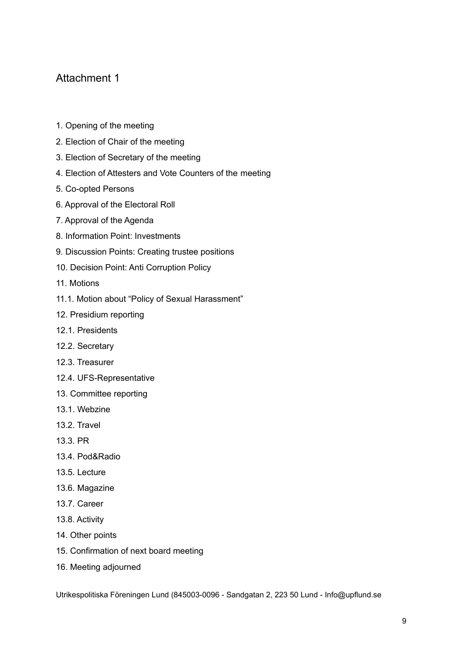## Attachment 1

- 1. Opening of the meeting
- 2. Election of Chair of the meeting
- 3. Election of Secretary of the meeting
- 4. Election of Attesters and Vote Counters of the meeting
- 5. Co-opted Persons
- 6. Approval of the Electoral Roll
- 7. Approval of the Agenda
- 8. Information Point: Investments
- 9. Discussion Points: Creating trustee positions
- 10. Decision Point: Anti Corruption Policy
- 11. Motions
- 11.1. Motion about "Policy of Sexual Harassment"
- 12. Presidium reporting
- 12.1. Presidents
- 12.2. Secretary
- 12.3. Treasurer
- 12.4. UFS-Representative
- 13. Committee reporting
- 13.1. Webzine
- 13.2. Travel
- 13.3. PR
- 13.4. Pod&Radio
- 13.5. Lecture
- 13.6. Magazine
- 13.7. Career
- 13.8. Activity
- 14. Other points
- 15. Confirmation of next board meeting
- 16. Meeting adjourned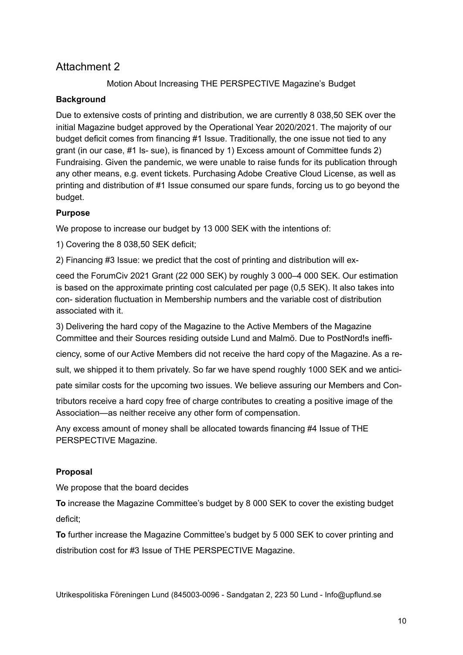## Attachment 2

## Motion About Increasing THE PERSPECTIVE Magazine's Budget

### **Background**

Due to extensive costs of printing and distribution, we are currently 8 038,50 SEK over the initial Magazine budget approved by the Operational Year 2020/2021. The majority of our budget deficit comes from financing #1 Issue. Traditionally, the one issue not tied to any grant (in our case, #1 Is- sue), is financed by 1) Excess amount of Committee funds 2) Fundraising. Given the pandemic, we were unable to raise funds for its publication through any other means, e.g. event tickets. Purchasing Adobe Creative Cloud License, as well as printing and distribution of #1 Issue consumed our spare funds, forcing us to go beyond the budget.

### **Purpose**

We propose to increase our budget by 13 000 SEK with the intentions of:

1) Covering the 8 038,50 SEK deficit;

2) Financing #3 Issue: we predict that the cost of printing and distribution will ex-

ceed the ForumCiv 2021 Grant (22 000 SEK) by roughly 3 000–4 000 SEK. Our estimation is based on the approximate printing cost calculated per page (0,5 SEK). It also takes into con- sideration fluctuation in Membership numbers and the variable cost of distribution associated with it.

3) Delivering the hard copy of the Magazine to the Active Members of the Magazine Committee and their Sources residing outside Lund and Malmö. Due to PostNord!s ineffi-

ciency, some of our Active Members did not receive the hard copy of the Magazine. As a re-

sult, we shipped it to them privately. So far we have spend roughly 1000 SEK and we antici-

pate similar costs for the upcoming two issues. We believe assuring our Members and Con-

tributors receive a hard copy free of charge contributes to creating a positive image of the Association—as neither receive any other form of compensation.

Any excess amount of money shall be allocated towards financing #4 Issue of THE PERSPECTIVE Magazine.

## **Proposal**

We propose that the board decides

**To** increase the Magazine Committee's budget by 8 000 SEK to cover the existing budget deficit;

**To** further increase the Magazine Committee's budget by 5 000 SEK to cover printing and distribution cost for #3 Issue of THE PERSPECTIVE Magazine.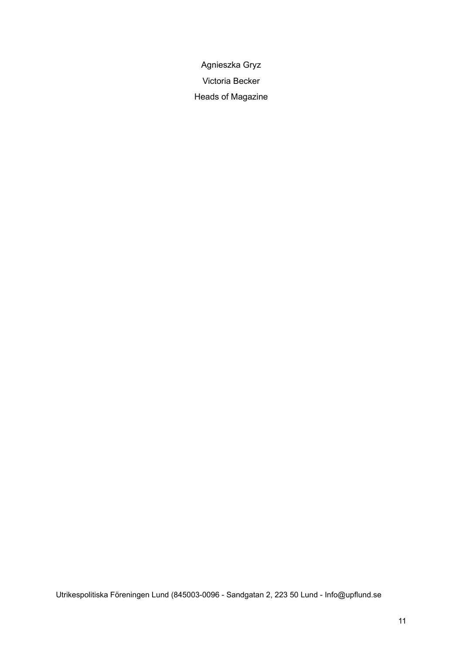Agnieszka Gryz Victoria Becker Heads of Magazine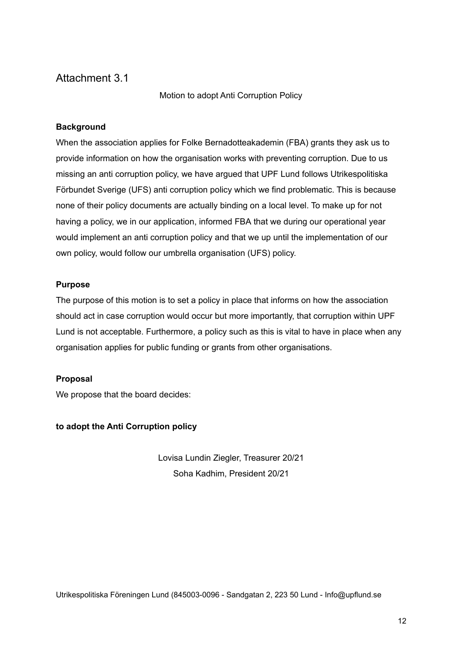## Attachment 3.1

Motion to adopt Anti Corruption Policy

#### **Background**

When the association applies for Folke Bernadotteakademin (FBA) grants they ask us to provide information on how the organisation works with preventing corruption. Due to us missing an anti corruption policy, we have argued that UPF Lund follows Utrikespolitiska Förbundet Sverige (UFS) anti corruption policy which we find problematic. This is because none of their policy documents are actually binding on a local level. To make up for not having a policy, we in our application, informed FBA that we during our operational year would implement an anti corruption policy and that we up until the implementation of our own policy, would follow our umbrella organisation (UFS) policy.

#### **Purpose**

The purpose of this motion is to set a policy in place that informs on how the association should act in case corruption would occur but more importantly, that corruption within UPF Lund is not acceptable. Furthermore, a policy such as this is vital to have in place when any organisation applies for public funding or grants from other organisations.

#### **Proposal**

We propose that the board decides:

**to adopt the Anti Corruption policy**

Lovisa Lundin Ziegler, Treasurer 20/21 Soha Kadhim, President 20/21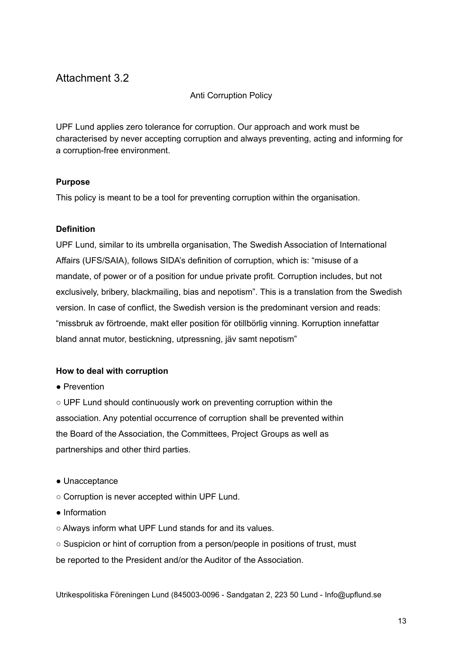## Attachment 3.2

#### Anti Corruption Policy

UPF Lund applies zero tolerance for corruption. Our approach and work must be characterised by never accepting corruption and always preventing, acting and informing for a corruption-free environment.

#### **Purpose**

This policy is meant to be a tool for preventing corruption within the organisation.

#### **Definition**

UPF Lund, similar to its umbrella organisation, The Swedish Association of International Affairs (UFS/SAIA), follows SIDA's definition of corruption, which is: "misuse of a mandate, of power or of a position for undue private profit. Corruption includes, but not exclusively, bribery, blackmailing, bias and nepotism". This is a translation from the Swedish version. In case of conflict, the Swedish version is the predominant version and reads: "missbruk av förtroende, makt eller position för otillbörlig vinning. Korruption innefattar bland annat mutor, bestickning, utpressning, jäv samt nepotism"

#### **How to deal with corruption**

● Prevention

○ UPF Lund should continuously work on preventing corruption within the association. Any potential occurrence of corruption shall be prevented within the Board of the Association, the Committees, Project Groups as well as partnerships and other third parties.

- Unacceptance
- Corruption is never accepted within UPF Lund.
- Information
- Always inform what UPF Lund stands for and its values.
- Suspicion or hint of corruption from a person/people in positions of trust, must

be reported to the President and/or the Auditor of the Association.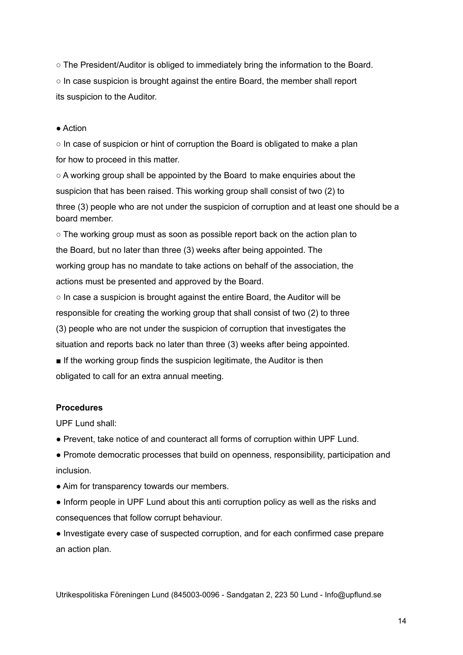○ The President/Auditor is obliged to immediately bring the information to the Board.  $\circ$  In case suspicion is brought against the entire Board, the member shall report its suspicion to the Auditor.

#### ● Action

 $\circ$  In case of suspicion or hint of corruption the Board is obligated to make a plan for how to proceed in this matter.

 $\circ$  A working group shall be appointed by the Board to make enguiries about the suspicion that has been raised. This working group shall consist of two (2) to three (3) people who are not under the suspicion of corruption and at least one should be a board member.

 $\circ$  The working group must as soon as possible report back on the action plan to the Board, but no later than three (3) weeks after being appointed. The working group has no mandate to take actions on behalf of the association, the actions must be presented and approved by the Board.

○ In case a suspicion is brought against the entire Board, the Auditor will be responsible for creating the working group that shall consist of two (2) to three (3) people who are not under the suspicion of corruption that investigates the situation and reports back no later than three (3) weeks after being appointed.

■ If the working group finds the suspicion legitimate, the Auditor is then obligated to call for an extra annual meeting.

#### **Procedures**

UPF Lund shall:

● Prevent, take notice of and counteract all forms of corruption within UPF Lund.

● Promote democratic processes that build on openness, responsibility, participation and inclusion.

- Aim for transparency towards our members.
- Inform people in UPF Lund about this anti corruption policy as well as the risks and consequences that follow corrupt behaviour.

● Investigate every case of suspected corruption, and for each confirmed case prepare an action plan.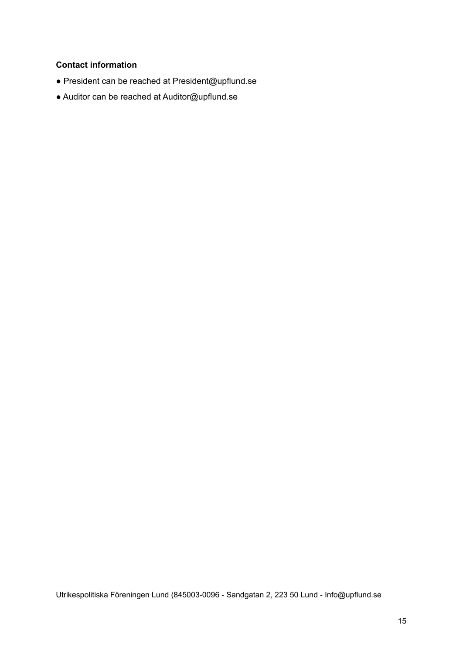## **Contact information**

- President can be reached at President@upflund.se
- Auditor can be reached at Auditor@upflund.se